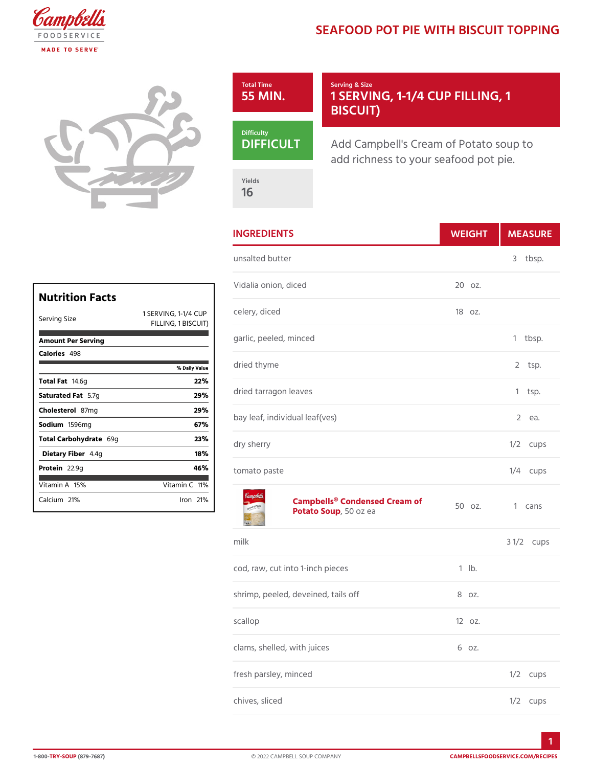## SEAFOOD POT PIE WITH BISC



|                        | Vida                                                        |
|------------------------|-------------------------------------------------------------|
| Nutrition Facts        |                                                             |
| Serving Size           | 1 - 1 / 4 C © U P I<br>1 SERVING.<br>BISCUIT)<br>FILLING, 1 |
| Amount Per Serving     | garli                                                       |
| Calorie4s98            |                                                             |
|                        | driec<br>% Daily Vallue                                     |
| Total Fa4.6g           | 22%                                                         |
| Saturated 5F. atg      | driec<br>29%                                                |
| Choleste 807 lm g      | 29%                                                         |
| Sodium 596mg           | bay l<br>67%                                                |
| Total Carbohy6d9gte    | 23%<br>dry<br>S                                             |
| Dietary F4ib4egr       | 18%                                                         |
| Protei <sub>2.9g</sub> | 46%<br>toma                                                 |
| Vitamin145%            | Vitamin1Cl%                                                 |
| Calciu 2n1 %           | lron21<br>Yo                                                |

| <b>INGREDIENTS</b>                                  | WEIGH      | MEASU           |
|-----------------------------------------------------|------------|-----------------|
| unsalted butter                                     |            | 3<br>tbsp.      |
| Vidalia onion, diced                                | 20 oz.     |                 |
| 1/4 C G U P r y , diced<br>ISCUIT)                  | $180z$ .   |                 |
| garlic, peeled, minced                              |            | 1<br>$tb$ sp.   |
| dried thyme                                         |            | 2<br>tsp.       |
| dried tarragon leaves                               |            | 1<br>tsp.       |
| bay leaf, individual leaf(ves)                      |            | 2<br>e a.       |
| dry sherry                                          |            | $1/2$ cups      |
| tomato paste                                        |            | 1/4 cups        |
| Campbells® Condensed Cream of<br>Potato So Sulpozea |            | 1 cans          |
| $m$ ilk                                             |            | 3<br>$1/2c$ ups |
| cod, raw, cut into 1-inch pieces                    | $1$ $1b$ . |                 |
| shrimp, peeled, deveined, tails off                 | 8 oz.      |                 |
| scallop                                             | 12 oz.     |                 |
| clams, shelled, with juices                         | 6 oz.      |                 |
| fresh parsley, minced                               |            | $1/2$ cups      |
| chives, sliced                                      |            | $1/2$ cups      |
|                                                     |            |                 |

1